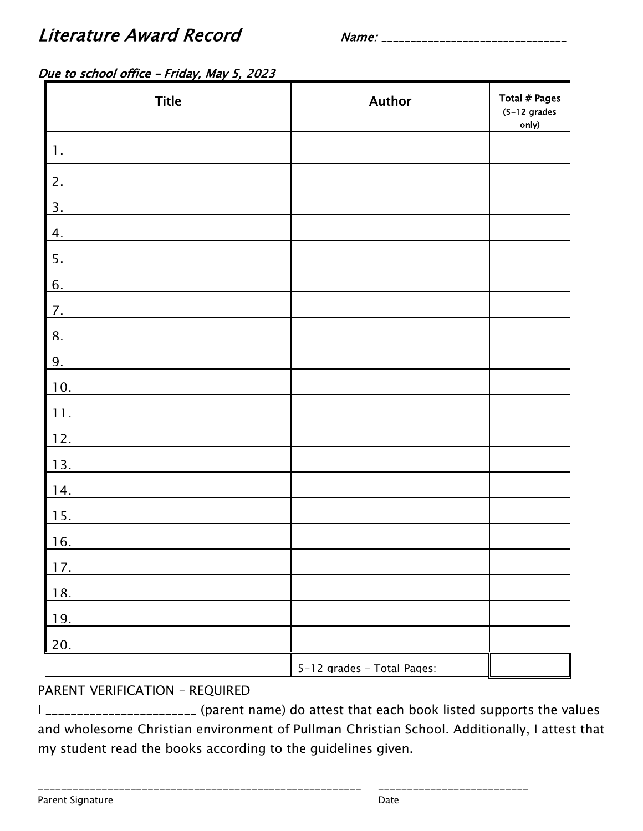Literature Award Record Name: \_\_\_\_\_\_\_\_\_\_\_\_\_\_\_\_\_\_\_\_\_\_\_\_\_\_\_\_\_\_\_\_

## Due to school office - Friday, May 5, 2023

| <b>Title</b>     | Author                     | Total # Pages<br>$(5-12$ grades<br>only) |
|------------------|----------------------------|------------------------------------------|
| $\mathbf{1}$ .   |                            |                                          |
| 2.               |                            |                                          |
| 3.               |                            |                                          |
| 4.               |                            |                                          |
| 5.               |                            |                                          |
| 6.               |                            |                                          |
| 7.               |                            |                                          |
| 8.               |                            |                                          |
| $\mathbf{q}_{1}$ |                            |                                          |
| 10.              |                            |                                          |
| 11.              |                            |                                          |
| 12.              |                            |                                          |
| 13.              |                            |                                          |
| 14.              |                            |                                          |
| 15.              |                            |                                          |
| 16.              |                            |                                          |
| 17.              |                            |                                          |
| 18.              |                            |                                          |
| 19.              |                            |                                          |
| 20.              |                            |                                          |
|                  | 5-12 arades - Total Pages: |                                          |

#### PARENT VERIFICATION – REQUIRED

I \_\_\_\_\_\_\_\_\_\_\_\_\_\_\_\_\_\_\_\_\_\_\_\_ (parent name) do attest that each book listed supports the values and wholesome Christian environment of Pullman Christian School. Additionally, I attest that my student read the books according to the guidelines given.

\_\_\_\_\_\_\_\_\_\_\_\_\_\_\_\_\_\_\_\_\_\_\_\_\_\_\_\_\_\_\_\_\_\_\_\_\_\_\_\_\_\_\_\_\_\_\_\_\_\_\_\_\_\_\_\_ \_\_\_\_\_\_\_\_\_\_\_\_\_\_\_\_\_\_\_\_\_\_\_\_\_\_